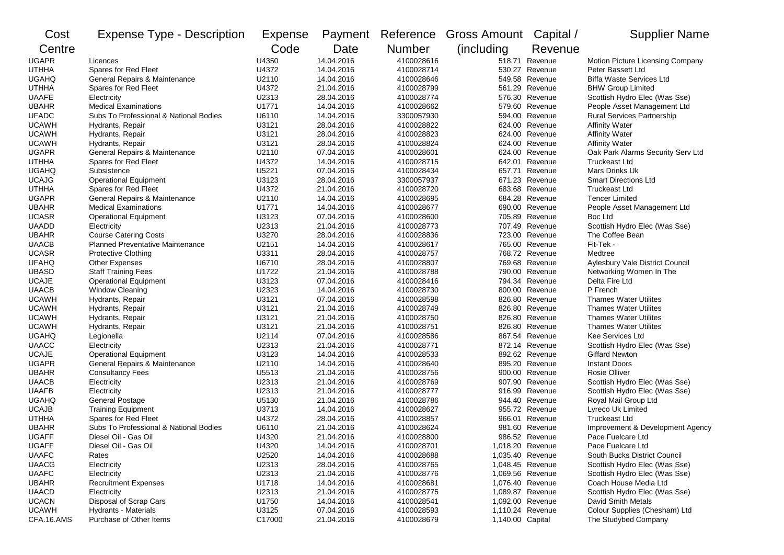| Cost         | <b>Expense Type - Description</b>       | <b>Expense</b> |            |               | Payment Reference Gross Amount Capital / |                  | <b>Supplier Name</b>              |
|--------------|-----------------------------------------|----------------|------------|---------------|------------------------------------------|------------------|-----------------------------------|
| Centre       |                                         | Code           | Date       | <b>Number</b> | (including                               | Revenue          |                                   |
| <b>UGAPR</b> | Licences                                | U4350          | 14.04.2016 | 4100028616    |                                          | 518.71 Revenue   | Motion Picture Licensing Company  |
| <b>UTHHA</b> | Spares for Red Fleet                    | U4372          | 14.04.2016 | 4100028714    |                                          | 530.27 Revenue   | Peter Bassett Ltd                 |
| <b>UGAHQ</b> | General Repairs & Maintenance           | U2110          | 14.04.2016 | 4100028646    |                                          | 549.58 Revenue   | <b>Biffa Waste Services Ltd</b>   |
| <b>UTHHA</b> | Spares for Red Fleet                    | U4372          | 21.04.2016 | 4100028799    |                                          | 561.29 Revenue   | <b>BHW Group Limited</b>          |
| <b>UAAFE</b> | Electricity                             | U2313          | 28.04.2016 | 4100028774    |                                          | 576.30 Revenue   | Scottish Hydro Elec (Was Sse)     |
| <b>UBAHR</b> | <b>Medical Examinations</b>             | U1771          | 14.04.2016 | 4100028662    |                                          | 579.60 Revenue   | People Asset Management Ltd       |
| <b>UFADC</b> | Subs To Professional & National Bodies  | U6110          | 14.04.2016 | 3300057930    |                                          | 594.00 Revenue   | <b>Rural Services Partnership</b> |
| <b>UCAWH</b> | Hydrants, Repair                        | U3121          | 28.04.2016 | 4100028822    |                                          | 624.00 Revenue   | <b>Affinity Water</b>             |
| <b>UCAWH</b> | Hydrants, Repair                        | U3121          | 28.04.2016 | 4100028823    |                                          | 624.00 Revenue   | <b>Affinity Water</b>             |
| <b>UCAWH</b> | Hydrants, Repair                        | U3121          | 28.04.2016 | 4100028824    | 624.00                                   | Revenue          | <b>Affinity Water</b>             |
| <b>UGAPR</b> | General Repairs & Maintenance           | U2110          | 07.04.2016 | 4100028601    |                                          | 624.00 Revenue   | Oak Park Alarms Security Serv Ltd |
| <b>UTHHA</b> | Spares for Red Fleet                    | U4372          | 14.04.2016 | 4100028715    |                                          | 642.01 Revenue   | <b>Truckeast Ltd</b>              |
| <b>UGAHQ</b> | Subsistence                             | U5221          | 07.04.2016 | 4100028434    | 657.71                                   | Revenue          | Mars Drinks Uk                    |
| <b>UCAJG</b> | <b>Operational Equipment</b>            | U3123          | 28.04.2016 | 3300057937    |                                          | 671.23 Revenue   | <b>Smart Directions Ltd</b>       |
| <b>UTHHA</b> | Spares for Red Fleet                    | U4372          | 21.04.2016 | 4100028720    |                                          | 683.68 Revenue   | <b>Truckeast Ltd</b>              |
| <b>UGAPR</b> | General Repairs & Maintenance           | U2110          | 14.04.2016 | 4100028695    |                                          | 684.28 Revenue   | <b>Tencer Limited</b>             |
| <b>UBAHR</b> | <b>Medical Examinations</b>             | U1771          | 14.04.2016 | 4100028677    |                                          | 690.00 Revenue   | People Asset Management Ltd       |
| <b>UCASR</b> | <b>Operational Equipment</b>            | U3123          | 07.04.2016 | 4100028600    |                                          | 705.89 Revenue   | Boc Ltd                           |
| <b>UAADD</b> | Electricity                             | U2313          | 21.04.2016 | 4100028773    |                                          | 707.49 Revenue   | Scottish Hydro Elec (Was Sse)     |
| <b>UBAHR</b> | <b>Course Catering Costs</b>            | U3270          | 28.04.2016 | 4100028836    |                                          | 723.00 Revenue   | The Coffee Bean                   |
| <b>UAACB</b> | <b>Planned Preventative Maintenance</b> | U2151          | 14.04.2016 | 4100028617    | 765.00                                   | Revenue          | Fit-Tek -                         |
| <b>UCASR</b> | <b>Protective Clothing</b>              | U3311          | 28.04.2016 | 4100028757    |                                          | 768.72 Revenue   | Medtree                           |
| <b>UFAHQ</b> | <b>Other Expenses</b>                   | U6710          | 28.04.2016 | 4100028807    |                                          | 769.68 Revenue   | Aylesbury Vale District Council   |
| <b>UBASD</b> | <b>Staff Training Fees</b>              | U1722          | 21.04.2016 | 4100028788    |                                          | 790.00 Revenue   | Networking Women In The           |
| <b>UCAJE</b> | <b>Operational Equipment</b>            | U3123          | 07.04.2016 | 4100028416    |                                          | 794.34 Revenue   | Delta Fire Ltd                    |
| <b>UAACB</b> | Window Cleaning                         | U2323          | 14.04.2016 | 4100028730    |                                          | 800.00 Revenue   | P French                          |
| <b>UCAWH</b> | Hydrants, Repair                        | U3121          | 07.04.2016 | 4100028598    |                                          | 826.80 Revenue   | <b>Thames Water Utilites</b>      |
| <b>UCAWH</b> | Hydrants, Repair                        | U3121          | 21.04.2016 | 4100028749    |                                          | 826.80 Revenue   | <b>Thames Water Utilites</b>      |
| <b>UCAWH</b> | Hydrants, Repair                        | U3121          | 21.04.2016 | 4100028750    |                                          | 826.80 Revenue   | <b>Thames Water Utilites</b>      |
| <b>UCAWH</b> | Hydrants, Repair                        | U3121          | 21.04.2016 | 4100028751    |                                          | 826.80 Revenue   | <b>Thames Water Utilites</b>      |
| <b>UGAHQ</b> | Legionella                              | U2114          | 07.04.2016 | 4100028586    |                                          | 867.54 Revenue   | Kee Services Ltd                  |
| <b>UAACC</b> | Electricity                             | U2313          | 21.04.2016 | 4100028771    |                                          | 872.14 Revenue   | Scottish Hydro Elec (Was Sse)     |
| <b>UCAJE</b> | <b>Operational Equipment</b>            | U3123          | 14.04.2016 | 4100028533    |                                          | 892.62 Revenue   | <b>Giffard Newton</b>             |
| <b>UGAPR</b> | General Repairs & Maintenance           | U2110          | 14.04.2016 | 4100028640    |                                          | 895.20 Revenue   | <b>Instant Doors</b>              |
| <b>UBAHR</b> | <b>Consultancy Fees</b>                 | U5513          | 21.04.2016 | 4100028756    |                                          | 900.00 Revenue   | <b>Rosie Olliver</b>              |
| <b>UAACB</b> | Electricity                             | U2313          | 21.04.2016 | 4100028769    |                                          | 907.90 Revenue   | Scottish Hydro Elec (Was Sse)     |
| <b>UAAFB</b> | Electricity                             | U2313          | 21.04.2016 | 4100028777    |                                          | 916.99 Revenue   | Scottish Hydro Elec (Was Sse)     |
| <b>UGAHQ</b> | <b>General Postage</b>                  | U5130          | 21.04.2016 | 4100028786    |                                          | 944.40 Revenue   | Royal Mail Group Ltd              |
| <b>UCAJB</b> | <b>Training Equipment</b>               | U3713          | 14.04.2016 | 4100028627    |                                          | 955.72 Revenue   | Lyreco Uk Limited                 |
| <b>UTHHA</b> | Spares for Red Fleet                    | U4372          | 28.04.2016 | 4100028857    |                                          | 966.01 Revenue   | <b>Truckeast Ltd</b>              |
| <b>UBAHR</b> | Subs To Professional & National Bodies  | U6110          | 21.04.2016 | 4100028624    |                                          | 981.60 Revenue   | Improvement & Development Agency  |
| <b>UGAFF</b> | Diesel Oil - Gas Oil                    | U4320          | 21.04.2016 | 4100028800    |                                          | 986.52 Revenue   | Pace Fuelcare Ltd                 |
| <b>UGAFF</b> | Diesel Oil - Gas Oil                    | U4320          | 14.04.2016 | 4100028701    |                                          | 1,018.20 Revenue | Pace Fuelcare Ltd                 |
| <b>UAAFC</b> | Rates                                   | U2520          | 14.04.2016 | 4100028688    | 1,035.40 Revenue                         |                  | South Bucks District Council      |
| <b>UAACG</b> | Electricity                             | U2313          | 28.04.2016 | 4100028765    |                                          | 1,048.45 Revenue | Scottish Hydro Elec (Was Sse)     |
| <b>UAAFC</b> | Electricity                             | U2313          | 21.04.2016 | 4100028776    | 1,069.56 Revenue                         |                  | Scottish Hydro Elec (Was Sse)     |
| <b>UBAHR</b> | <b>Recruitment Expenses</b>             | U1718          | 14.04.2016 | 4100028681    | 1,076.40 Revenue                         |                  | Coach House Media Ltd             |
| <b>UAACD</b> | Electricity                             | U2313          | 21.04.2016 | 4100028775    | 1,089.87 Revenue                         |                  | Scottish Hydro Elec (Was Sse)     |
| <b>UCACN</b> | Disposal of Scrap Cars                  | U1750          | 14.04.2016 | 4100028541    | 1,092.00 Revenue                         |                  | David Smith Metals                |
| <b>UCAWH</b> | Hydrants - Materials                    | U3125          | 07.04.2016 | 4100028593    |                                          | 1,110.24 Revenue | Colour Supplies (Chesham) Ltd     |
| CFA.16.AMS   | Purchase of Other Items                 | C17000         | 21.04.2016 | 4100028679    | 1,140.00 Capital                         |                  | The Studybed Company              |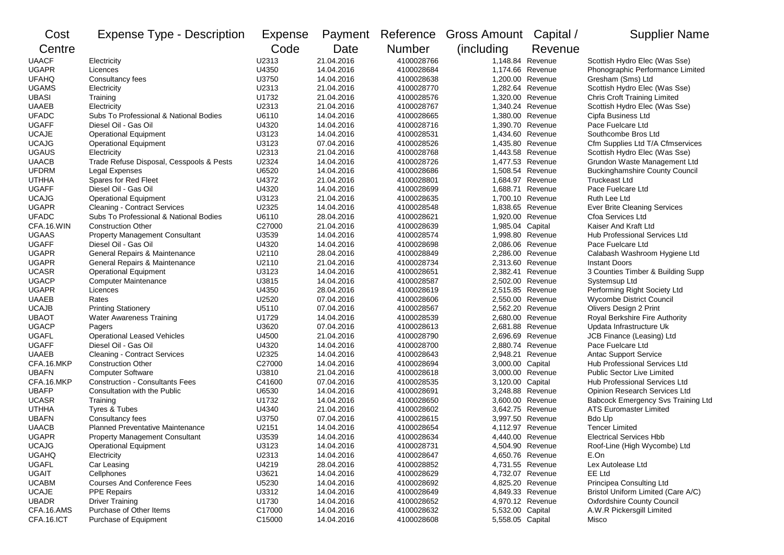| Cost         | <b>Expense Type - Description</b>        | Expense | Payment    | Reference     | <b>Gross Amount</b> | Capital /        | <b>Supplier Name</b>                  |
|--------------|------------------------------------------|---------|------------|---------------|---------------------|------------------|---------------------------------------|
| Centre       |                                          | Code    | Date       | <b>Number</b> | (including          | Revenue          |                                       |
| <b>UAACF</b> | Electricity                              | U2313   | 21.04.2016 | 4100028766    |                     | 1,148.84 Revenue | Scottish Hydro Elec (Was Sse)         |
| <b>UGAPR</b> | Licences                                 | U4350   | 14.04.2016 | 4100028684    |                     | 1,174.66 Revenue | Phonographic Performance Limited      |
| <b>UFAHQ</b> | Consultancy fees                         | U3750   | 14.04.2016 | 4100028638    |                     | 1,200.00 Revenue | Gresham (Sms) Ltd                     |
| <b>UGAMS</b> | Electricity                              | U2313   | 21.04.2016 | 4100028770    | 1,282.64 Revenue    |                  | Scottish Hydro Elec (Was Sse)         |
| UBASI        | Training                                 | U1732   | 21.04.2016 | 4100028576    | 1,320.00 Revenue    |                  | <b>Chris Croft Training Limited</b>   |
| <b>UAAEB</b> | Electricity                              | U2313   | 21.04.2016 | 4100028767    | 1,340.24 Revenue    |                  | Scottish Hydro Elec (Was Sse)         |
| <b>UFADC</b> | Subs To Professional & National Bodies   | U6110   | 14.04.2016 | 4100028665    | 1,380.00 Revenue    |                  | Cipfa Business Ltd                    |
| <b>UGAFF</b> | Diesel Oil - Gas Oil                     | U4320   | 14.04.2016 | 4100028716    | 1,390.70 Revenue    |                  | Pace Fuelcare Ltd                     |
| <b>UCAJE</b> | <b>Operational Equipment</b>             | U3123   | 14.04.2016 | 4100028531    |                     | 1,434.60 Revenue | Southcombe Bros Ltd                   |
| <b>UCAJG</b> | <b>Operational Equipment</b>             | U3123   | 07.04.2016 | 4100028526    |                     | 1.435.80 Revenue | Cfm Supplies Ltd T/A Cfmservices      |
| <b>UGAUS</b> | Electricity                              | U2313   | 21.04.2016 | 4100028768    | 1,443.58 Revenue    |                  | Scottish Hydro Elec (Was Sse)         |
| <b>UAACB</b> | Trade Refuse Disposal, Cesspools & Pests | U2324   | 14.04.2016 | 4100028726    |                     | 1,477.53 Revenue | Grundon Waste Management Ltd          |
| <b>UFDRM</b> | <b>Legal Expenses</b>                    | U6520   | 14.04.2016 | 4100028686    | 1,508.54 Revenue    |                  | <b>Buckinghamshire County Council</b> |
| <b>UTHHA</b> | Spares for Red Fleet                     | U4372   | 21.04.2016 | 4100028801    | 1,684.97 Revenue    |                  | <b>Truckeast Ltd</b>                  |
| <b>UGAFF</b> | Diesel Oil - Gas Oil                     | U4320   | 14.04.2016 | 4100028699    | 1,688.71 Revenue    |                  | Pace Fuelcare Ltd                     |
| <b>UCAJG</b> | <b>Operational Equipment</b>             | U3123   | 21.04.2016 | 4100028635    | 1,700.10 Revenue    |                  | Ruth Lee Ltd                          |
| <b>UGAPR</b> | <b>Cleaning - Contract Services</b>      | U2325   | 14.04.2016 | 4100028548    |                     | 1,838.65 Revenue | Ever Brite Cleaning Services          |
| <b>UFADC</b> | Subs To Professional & National Bodies   | U6110   | 28.04.2016 | 4100028621    |                     | 1,920.00 Revenue | Cfoa Services Ltd                     |
| CFA.16.WIN   | <b>Construction Other</b>                | C27000  | 21.04.2016 | 4100028639    | 1,985.04 Capital    |                  | Kaiser And Kraft Ltd                  |
| <b>UGAAS</b> | <b>Property Management Consultant</b>    | U3539   | 14.04.2016 | 4100028574    | 1,998.80 Revenue    |                  | <b>Hub Professional Services Ltd</b>  |
| <b>UGAFF</b> | Diesel Oil - Gas Oil                     | U4320   | 14.04.2016 | 4100028698    | 2,086.06 Revenue    |                  | Pace Fuelcare Ltd                     |
| <b>UGAPR</b> | General Repairs & Maintenance            | U2110   | 28.04.2016 | 4100028849    |                     | 2.286.00 Revenue | Calabash Washroom Hygiene Ltd         |
| <b>UGAPR</b> | General Repairs & Maintenance            | U2110   | 21.04.2016 | 4100028734    | 2,313.60 Revenue    |                  | <b>Instant Doors</b>                  |
| <b>UCASR</b> | <b>Operational Equipment</b>             | U3123   | 14.04.2016 | 4100028651    | 2,382.41 Revenue    |                  | 3 Counties Timber & Building Supp     |
| <b>UGACP</b> | <b>Computer Maintenance</b>              | U3815   | 14.04.2016 | 4100028587    |                     | 2,502.00 Revenue | Systemsup Ltd                         |
| <b>UGAPR</b> | Licences                                 | U4350   | 28.04.2016 | 4100028619    | 2,515.85 Revenue    |                  | Performing Right Society Ltd          |
| <b>UAAEB</b> | Rates                                    | U2520   | 07.04.2016 | 4100028606    | 2,550.00 Revenue    |                  | Wycombe District Council              |
| <b>UCAJB</b> | <b>Printing Stationery</b>               | U5110   | 07.04.2016 | 4100028567    | 2,562.20 Revenue    |                  | Olivers Design 2 Print                |
| <b>UBAOT</b> | Water Awareness Training                 | U1729   | 14.04.2016 | 4100028539    | 2,680.00 Revenue    |                  | Royal Berkshire Fire Authority        |
| <b>UGACP</b> | Pagers                                   | U3620   | 07.04.2016 | 4100028613    | 2,681.88 Revenue    |                  | Updata Infrastructure Uk              |
| <b>UGAFL</b> | <b>Operational Leased Vehicles</b>       | U4500   | 21.04.2016 | 4100028790    | 2,696.69 Revenue    |                  | JCB Finance (Leasing) Ltd             |
| <b>UGAFF</b> | Diesel Oil - Gas Oil                     | U4320   | 14.04.2016 | 4100028700    |                     | 2,880.74 Revenue | Pace Fuelcare Ltd                     |
| <b>UAAEB</b> | <b>Cleaning - Contract Services</b>      | U2325   | 14.04.2016 | 4100028643    |                     | 2,948.21 Revenue | <b>Antac Support Service</b>          |
| CFA.16.MKP   | <b>Construction Other</b>                | C27000  | 14.04.2016 | 4100028694    | 3,000.00 Capital    |                  | Hub Professional Services Ltd         |
| <b>UBAFN</b> | <b>Computer Software</b>                 | U3810   | 21.04.2016 | 4100028618    | 3,000.00 Revenue    |                  | Public Sector Live Limited            |
| CFA.16.MKP   | <b>Construction - Consultants Fees</b>   | C41600  | 07.04.2016 | 4100028535    | 3,120.00 Capital    |                  | Hub Professional Services Ltd         |
| <b>UBAFP</b> | Consultation with the Public             | U6530   | 14.04.2016 | 4100028691    | 3,248.88 Revenue    |                  | Opinion Research Services Ltd         |
| <b>UCASR</b> | Training                                 | U1732   | 14.04.2016 | 4100028650    | 3,600.00 Revenue    |                  | Babcock Emergency Svs Training Ltd    |
| <b>UTHHA</b> | Tyres & Tubes                            | U4340   | 21.04.2016 | 4100028602    | 3,642.75 Revenue    |                  | <b>ATS Euromaster Limited</b>         |
| <b>UBAFN</b> | Consultancy fees                         | U3750   | 07.04.2016 | 4100028615    | 3,997.50 Revenue    |                  | Bdo Llp                               |
| <b>UAACB</b> | <b>Planned Preventative Maintenance</b>  | U2151   | 14.04.2016 | 4100028654    | 4,112.97 Revenue    |                  | <b>Tencer Limited</b>                 |
| <b>UGAPR</b> | <b>Property Management Consultant</b>    | U3539   | 14.04.2016 | 4100028634    |                     | 4,440.00 Revenue | <b>Electrical Services Hbb</b>        |
| <b>UCAJG</b> | Operational Equipment                    | U3123   | 14.04.2016 | 4100028731    |                     | 4,504.90 Revenue | Roof-Line (High Wycombe) Ltd          |
| <b>UGAHQ</b> | Electricity                              | U2313   | 14.04.2016 | 4100028647    | 4,650.76 Revenue    |                  | E.On                                  |
| <b>UGAFL</b> | Car Leasing                              | U4219   | 28.04.2016 | 4100028852    | 4,731.55 Revenue    |                  | Lex Autolease Ltd                     |
| UGAIT        | Cellphones                               | U3621   | 14.04.2016 | 4100028629    | 4,732.07 Revenue    |                  | EE Ltd                                |
| <b>UCABM</b> | <b>Courses And Conference Fees</b>       | U5230   | 14.04.2016 | 4100028692    | 4,825.20 Revenue    |                  | Principea Consulting Ltd              |
| <b>UCAJE</b> | <b>PPE Repairs</b>                       | U3312   | 14.04.2016 | 4100028649    | 4,849.33 Revenue    |                  | Bristol Uniform Limited (Care A/C)    |
| <b>UBADR</b> | <b>Driver Training</b>                   | U1730   | 14.04.2016 | 4100028652    | 4,970.12 Revenue    |                  | <b>Oxfordshire County Council</b>     |
| CFA.16.AMS   | Purchase of Other Items                  | C17000  | 14.04.2016 | 4100028632    | 5,532.00 Capital    |                  | A.W.R Pickersgill Limited             |
| CFA.16.ICT   | Purchase of Equipment                    | C15000  | 14.04.2016 | 4100028608    | 5,558.05 Capital    |                  | Misco                                 |